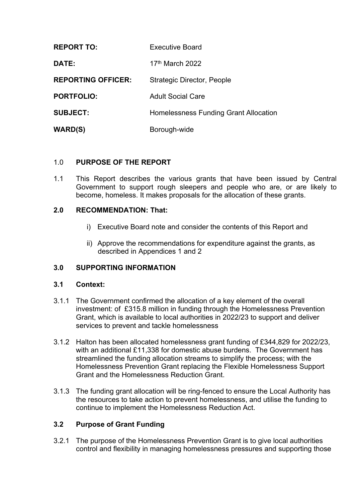| <b>REPORT TO:</b>         | <b>Executive Board</b>                       |
|---------------------------|----------------------------------------------|
| DATE:                     | $17th$ March 2022                            |
| <b>REPORTING OFFICER:</b> | Strategic Director, People                   |
| <b>PORTFOLIO:</b>         | <b>Adult Social Care</b>                     |
| <b>SUBJECT:</b>           | <b>Homelessness Funding Grant Allocation</b> |
| <b>WARD(S)</b>            | Borough-wide                                 |

#### 1.0 **PURPOSE OF THE REPORT**

1.1 This Report describes the various grants that have been issued by Central Government to support rough sleepers and people who are, or are likely to become, homeless. It makes proposals for the allocation of these grants.

#### **2.0 RECOMMENDATION: That:**

- i) Executive Board note and consider the contents of this Report and
- ii) Approve the recommendations for expenditure against the grants, as described in Appendices 1 and 2

#### **3.0 SUPPORTING INFORMATION**

#### **3.1 Context:**

- 3.1.1 The Government confirmed the allocation of a key element of the overall investment: of £315.8 million in funding through the Homelessness Prevention Grant, which is available to local authorities in 2022/23 to support and deliver services to prevent and tackle homelessness
- 3.1.2 Halton has been allocated homelessness grant funding of £344,829 for 2022/23, with an additional £11,338 for domestic abuse burdens. The Government has streamlined the funding allocation streams to simplify the process; with the Homelessness Prevention Grant replacing the Flexible Homelessness Support Grant and the Homelessness Reduction Grant.
- 3.1.3 The funding grant allocation will be ring-fenced to ensure the Local Authority has the resources to take action to prevent homelessness, and utilise the funding to continue to implement the Homelessness Reduction Act.

#### **3.2 Purpose of Grant Funding**

3.2.1 The purpose of the Homelessness Prevention Grant is to give local authorities control and flexibility in managing homelessness pressures and supporting those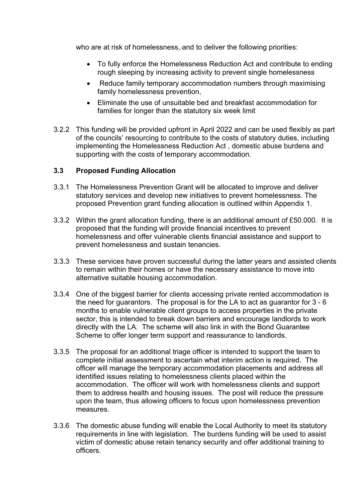who are at risk of homelessness, and to deliver the following priorities:

- To fully enforce the Homelessness Reduction Act and contribute to ending rough sleeping by increasing activity to prevent single homelessness
- Reduce family temporary accommodation numbers through maximising family homelessness prevention,
- Eliminate the use of unsuitable bed and breakfast accommodation for families for longer than the statutory six week limit
- 3.2.2 This funding will be provided upfront in April 2022 and can be used flexibly as part of the councils' resourcing to contribute to the costs of statutory duties, including implementing the Homelessness Reduction Act , domestic abuse burdens and supporting with the costs of temporary accommodation.

#### **3.3 Proposed Funding Allocation**

- 3.3.1 The Homelessness Prevention Grant will be allocated to improve and deliver statutory services and develop new initiatives to prevent homelessness. The proposed Prevention grant funding allocation is outlined within Appendix 1.
- 3.3.2 Within the grant allocation funding, there is an additional amount of £50.000. It is proposed that the funding will provide financial incentives to prevent homelessness and offer vulnerable clients financial assistance and support to prevent homelessness and sustain tenancies.
- 3.3.3 These services have proven successful during the latter years and assisted clients to remain within their homes or have the necessary assistance to move into alternative suitable housing accommodation.
- 3.3.4 One of the biggest barrier for clients accessing private rented accommodation is the need for guarantors. The proposal is for the LA to act as guarantor for 3 - 6 months to enable vulnerable client groups to access properties in the private sector, this is intended to break down barriers and encourage landlords to work directly with the LA. The scheme will also link in with the Bond Guarantee Scheme to offer longer term support and reassurance to landlords.
- 3.3.5 The proposal for an additional triage officer is intended to support the team to complete initial assessment to ascertain what interim action is required. The officer will manage the temporary accommodation placements and address all identified issues relating to homelessness clients placed within the accommodation. The officer will work with homelessness clients and support them to address health and housing issues. The post will reduce the pressure upon the team, thus allowing officers to focus upon homelessness prevention measures.
- 3.3.6 The domestic abuse funding will enable the Local Authority to meet its statutory requirements in line with legislation. The burdens funding will be used to assist victim of domestic abuse retain tenancy security and offer additional training to officers.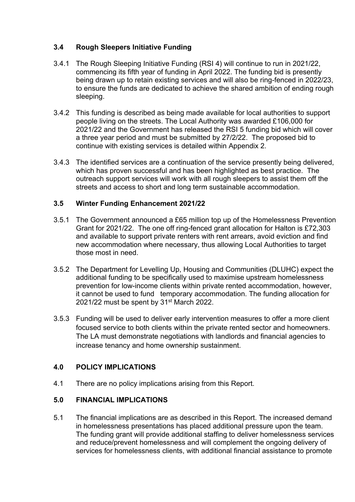### **3.4 Rough Sleepers Initiative Funding**

- 3.4.1 The Rough Sleeping Initiative Funding (RSI 4) will continue to run in 2021/22, commencing its fifth year of funding in April 2022. The funding bid is presently being drawn up to retain existing services and will also be ring-fenced in 2022/23, to ensure the funds are dedicated to achieve the shared ambition of ending rough sleeping.
- 3.4.2 This funding is described as being made available for local authorities to support people living on the streets. The Local Authority was awarded £106,000 for 2021/22 and the Government has released the RSI 5 funding bid which will cover a three year period and must be submitted by 27/2/22. The proposed bid to continue with existing services is detailed within Appendix 2.
- 3.4.3 The identified services are a continuation of the service presently being delivered, which has proven successful and has been highlighted as best practice. The outreach support services will work with all rough sleepers to assist them off the streets and access to short and long term sustainable accommodation.

#### **3.5 Winter Funding Enhancement 2021/22**

- 3.5.1 The Government announced a £65 million top up of the Homelessness Prevention Grant for 2021/22. The one off ring-fenced grant allocation for Halton is £72,303 and available to support private renters with rent arrears, avoid eviction and find new accommodation where necessary, thus allowing Local Authorities to target those most in need.
- 3.5.2 The Department for Levelling Up, Housing and Communities (DLUHC) expect the additional funding to be specifically used to maximise upstream homelessness prevention for low-income clients within private rented accommodation, however, it cannot be used to fund temporary accommodation. The funding allocation for 2021/22 must be spent by 31st March 2022.
- 3.5.3 Funding will be used to deliver early intervention measures to offer a more client focused service to both clients within the private rented sector and homeowners. The LA must demonstrate negotiations with landlords and financial agencies to increase tenancy and home ownership sustainment.

#### **4.0 POLICY IMPLICATIONS**

4.1 There are no policy implications arising from this Report.

#### **5.0 FINANCIAL IMPLICATIONS**

5.1 The financial implications are as described in this Report. The increased demand in homelessness presentations has placed additional pressure upon the team. The funding grant will provide additional staffing to deliver homelessness services and reduce/prevent homelessness and will complement the ongoing delivery of services for homelessness clients, with additional financial assistance to promote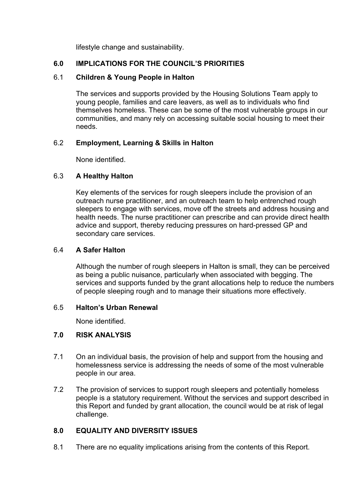lifestyle change and sustainability.

#### **6.0 IMPLICATIONS FOR THE COUNCIL'S PRIORITIES**

#### 6.1 **Children & Young People in Halton**

The services and supports provided by the Housing Solutions Team apply to young people, families and care leavers, as well as to individuals who find themselves homeless. These can be some of the most vulnerable groups in our communities, and many rely on accessing suitable social housing to meet their needs.

#### 6.2 **Employment, Learning & Skills in Halton**

None identified.

#### 6.3 **A Healthy Halton**

Key elements of the services for rough sleepers include the provision of an outreach nurse practitioner, and an outreach team to help entrenched rough sleepers to engage with services, move off the streets and address housing and health needs. The nurse practitioner can prescribe and can provide direct health advice and support, thereby reducing pressures on hard-pressed GP and secondary care services.

#### 6.4 **A Safer Halton**

Although the number of rough sleepers in Halton is small, they can be perceived as being a public nuisance, particularly when associated with begging. The services and supports funded by the grant allocations help to reduce the numbers of people sleeping rough and to manage their situations more effectively.

#### 6.5 **Halton's Urban Renewal**

None identified.

#### **7.0 RISK ANALYSIS**

- 7.1 On an individual basis, the provision of help and support from the housing and homelessness service is addressing the needs of some of the most vulnerable people in our area.
- 7.2 The provision of services to support rough sleepers and potentially homeless people is a statutory requirement. Without the services and support described in this Report and funded by grant allocation, the council would be at risk of legal challenge.

#### **8.0 EQUALITY AND DIVERSITY ISSUES**

8.1 There are no equality implications arising from the contents of this Report.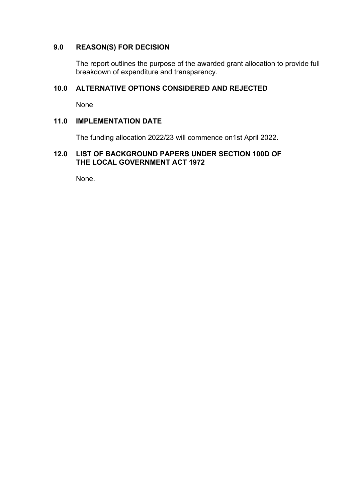#### **9.0 REASON(S) FOR DECISION**

The report outlines the purpose of the awarded grant allocation to provide full breakdown of expenditure and transparency.

#### **10.0 ALTERNATIVE OPTIONS CONSIDERED AND REJECTED**

None

#### **11.0 IMPLEMENTATION DATE**

The funding allocation 2022/23 will commence on1st April 2022.

#### **12.0 LIST OF BACKGROUND PAPERS UNDER SECTION 100D OF THE LOCAL GOVERNMENT ACT 1972**

None.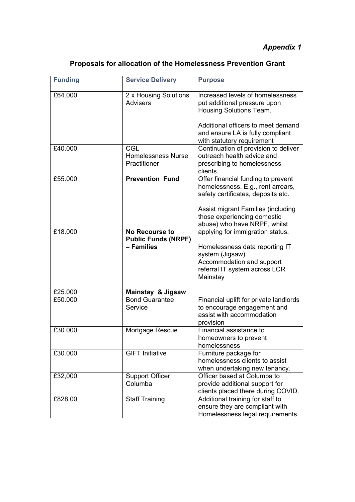## *Appendix 1*

| <b>Funding</b> | <b>Service Delivery</b>                             | <b>Purpose</b>                                                                                                                                      |
|----------------|-----------------------------------------------------|-----------------------------------------------------------------------------------------------------------------------------------------------------|
| £64.000        | 2 x Housing Solutions<br><b>Advisers</b>            | Increased levels of homelessness<br>put additional pressure upon<br>Housing Solutions Team.                                                         |
|                |                                                     | Additional officers to meet demand<br>and ensure LA is fully compliant<br>with statutory requirement                                                |
| £40.000        | CGL<br><b>Homelessness Nurse</b><br>Practitioner    | Continuation of provision to deliver<br>outreach health advice and<br>prescribing to homelessness<br>clients.                                       |
| £55.000        | <b>Prevention Fund</b>                              | Offer financial funding to prevent<br>homelessness. E.g., rent arrears,<br>safety certificates, deposits etc.<br>Assist migrant Families (including |
| £18,000        | <b>No Recourse to</b><br><b>Public Funds (NRPF)</b> | those experiencing domestic<br>abuse) who have NRPF, whilst<br>applying for immigration status.                                                     |
|                | - Families                                          | Homelessness data reporting IT<br>system (Jigsaw)<br>Accommodation and support<br>referral IT system across LCR<br>Mainstay                         |
| £25.000        | <b>Mainstay &amp; Jigsaw</b>                        |                                                                                                                                                     |
| £50.000        | <b>Bond Guarantee</b><br>Service                    | Financial uplift for private landlords<br>to encourage engagement and<br>assist with accommodation<br>provision                                     |
| £30.000        | Mortgage Rescue                                     | Financial assistance to<br>homeowners to prevent<br>homelessness                                                                                    |
| £30.000        | <b>GIFT Initiative</b>                              | Furniture package for<br>homelessness clients to assist<br>when undertaking new tenancy.                                                            |
| £32,000        | <b>Support Officer</b><br>Columba                   | Officer based at Columba to<br>provide additional support for<br>clients placed there during COVID.                                                 |
| £828.00        | <b>Staff Training</b>                               | Additional training for staff to<br>ensure they are compliant with<br>Homelessness legal requirements                                               |